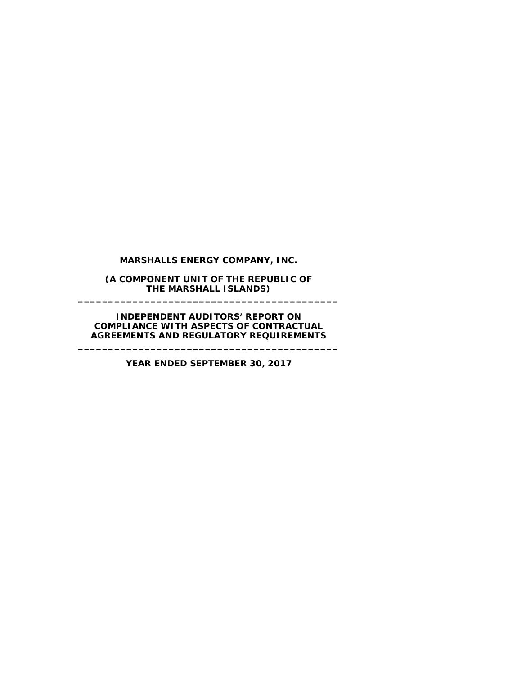**MARSHALLS ENERGY COMPANY, INC.**

**(A COMPONENT UNIT OF THE REPUBLIC OF THE MARSHALL ISLANDS) \_\_\_\_\_\_\_\_\_\_\_\_\_\_\_\_\_\_\_\_\_\_\_\_\_\_\_\_\_\_\_\_\_\_\_\_\_\_\_\_\_\_\_**

**INDEPENDENT AUDITORS' REPORT ON COMPLIANCE WITH ASPECTS OF CONTRACTUAL AGREEMENTS AND REGULATORY REQUIREMENTS**

**\_\_\_\_\_\_\_\_\_\_\_\_\_\_\_\_\_\_\_\_\_\_\_\_\_\_\_\_\_\_\_\_\_\_\_\_\_\_\_\_\_\_\_**

**YEAR ENDED SEPTEMBER 30, 2017**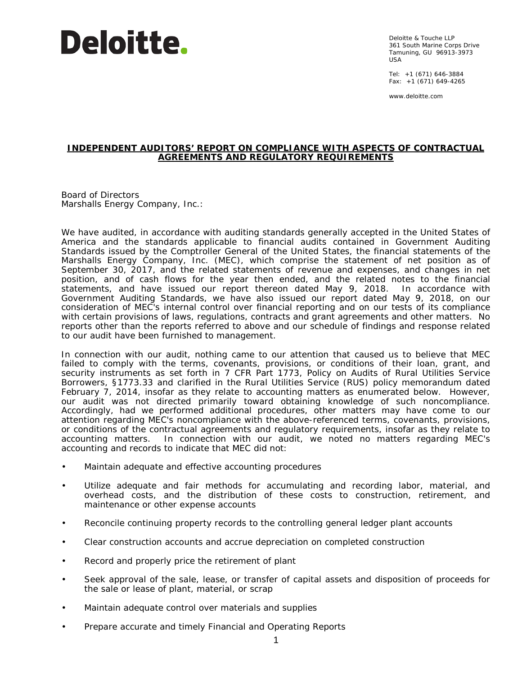## **Deloitte.**

Deloitte & Touche LLP 361 South Marine Corps Drive Tamuning, GU 96913-3973 USA

Tel: +1 (671) 646-3884 Fax: +1 (671) 649-4265

www.deloitte.com

## **INDEPENDENT AUDITORS' REPORT ON COMPLIANCE WITH ASPECTS OF CONTRACTUAL AGREEMENTS AND REGULATORY REQUIREMENTS**

Board of Directors Marshalls Energy Company, Inc.:

We have audited, in accordance with auditing standards generally accepted in the United States of America and the standards applicable to financial audits contained in *Government Auditing Standards* issued by the Comptroller General of the United States, the financial statements of the Marshalls Energy Company, Inc. (MEC), which comprise the statement of net position as of September 30, 2017, and the related statements of revenue and expenses, and changes in net position, and of cash flows for the year then ended, and the related notes to the financial statements, and have issued our report thereon dated May 9, 2018. In accordance with *Government Auditing Standards*, we have also issued our report dated May 9, 2018, on our consideration of MEC's internal control over financial reporting and on our tests of its compliance with certain provisions of laws, regulations, contracts and grant agreements and other matters. No reports other than the reports referred to above and our schedule of findings and response related to our audit have been furnished to management.

In connection with our audit, nothing came to our attention that caused us to believe that MEC failed to comply with the terms, covenants, provisions, or conditions of their loan, grant, and security instruments as set forth in 7 CFR Part 1773, *Policy on Audits of Rural Utilities Service Borrowers*, §1773.33 and clarified in the Rural Utilities Service (RUS) policy memorandum dated February 7, 2014, insofar as they relate to accounting matters as enumerated below. However, our audit was not directed primarily toward obtaining knowledge of such noncompliance. Accordingly, had we performed additional procedures, other matters may have come to our attention regarding MEC's noncompliance with the above-referenced terms, covenants, provisions, or conditions of the contractual agreements and regulatory requirements, insofar as they relate to accounting matters. In connection with our audit, we noted no matters regarding MEC's accounting and records to indicate that MEC did not:

- Maintain adequate and effective accounting procedures
- Utilize adequate and fair methods for accumulating and recording labor, material, and overhead costs, and the distribution of these costs to construction, retirement, and maintenance or other expense accounts
- Reconcile continuing property records to the controlling general ledger plant accounts
- Clear construction accounts and accrue depreciation on completed construction
- Record and properly price the retirement of plant
- Seek approval of the sale, lease, or transfer of capital assets and disposition of proceeds for the sale or lease of plant, material, or scrap
- Maintain adequate control over materials and supplies
- Prepare accurate and timely Financial and Operating Reports